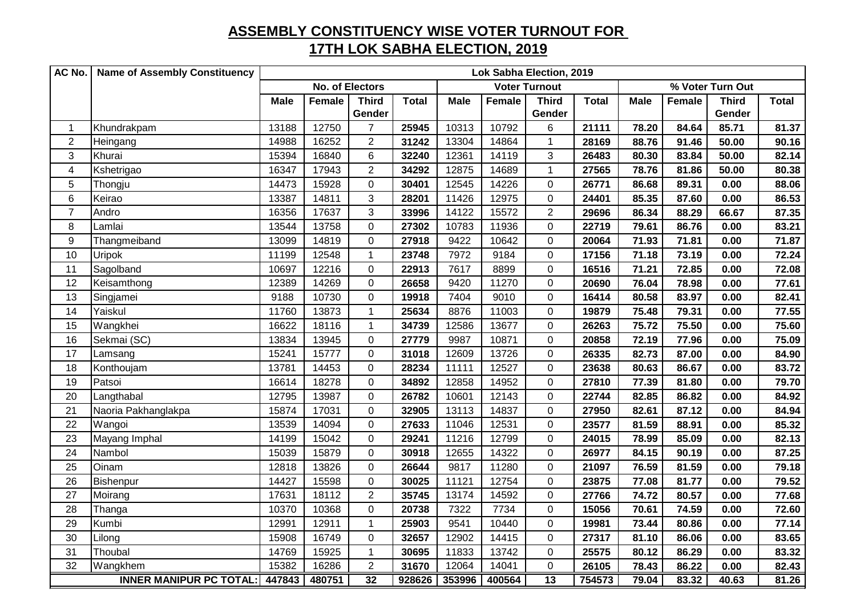## **ASSEMBLY CONSTITUENCY WISE VOTER TURNOUT FOR 17TH LOK SABHA ELECTION, 2019**

| AC No.         | <b>Name of Assembly Constituency</b> | Lok Sabha Election, 2019                       |        |                  |              |             |        |                |              |                  |        |              |              |  |
|----------------|--------------------------------------|------------------------------------------------|--------|------------------|--------------|-------------|--------|----------------|--------------|------------------|--------|--------------|--------------|--|
|                |                                      | <b>No. of Electors</b><br><b>Voter Turnout</b> |        |                  |              |             |        |                |              | % Voter Turn Out |        |              |              |  |
|                |                                      | <b>Male</b>                                    | Female | <b>Third</b>     | <b>Total</b> | <b>Male</b> | Female | <b>Third</b>   | <b>Total</b> | <b>Male</b>      | Female | <b>Third</b> | <b>Total</b> |  |
|                |                                      |                                                |        | Gender           |              |             |        | Gender         |              |                  |        | Gender       |              |  |
| $\mathbf{1}$   | Khundrakpam                          | 13188                                          | 12750  | $\overline{7}$   | 25945        | 10313       | 10792  | 6              | 21111        | 78.20            | 84.64  | 85.71        | 81.37        |  |
| $\overline{2}$ | Heingang                             | 14988                                          | 16252  | $\overline{2}$   | 31242        | 13304       | 14864  | $\mathbf{1}$   | 28169        | 88.76            | 91.46  | 50.00        | 90.16        |  |
| 3              | Khurai                               | 15394                                          | 16840  | 6                | 32240        | 12361       | 14119  | 3              | 26483        | 80.30            | 83.84  | 50.00        | 82.14        |  |
| $\overline{4}$ | Kshetrigao                           | 16347                                          | 17943  | $\overline{2}$   | 34292        | 12875       | 14689  | $\mathbf{1}$   | 27565        | 78.76            | 81.86  | 50.00        | 80.38        |  |
| 5              | Thongju                              | 14473                                          | 15928  | $\mathbf 0$      | 30401        | 12545       | 14226  | $\mathbf 0$    | 26771        | 86.68            | 89.31  | 0.00         | 88.06        |  |
| $\,6\,$        | Keirao                               | 13387                                          | 14811  | 3                | 28201        | 11426       | 12975  | $\mathbf 0$    | 24401        | 85.35            | 87.60  | 0.00         | 86.53        |  |
| $\overline{7}$ | Andro                                | 16356                                          | 17637  | 3                | 33996        | 14122       | 15572  | $\overline{2}$ | 29696        | 86.34            | 88.29  | 66.67        | 87.35        |  |
| 8              | Lamlai                               | 13544                                          | 13758  | $\boldsymbol{0}$ | 27302        | 10783       | 11936  | $\mathbf 0$    | 22719        | 79.61            | 86.76  | 0.00         | 83.21        |  |
| 9              | Thangmeiband                         | 13099                                          | 14819  | $\mathbf 0$      | 27918        | 9422        | 10642  | $\mathbf 0$    | 20064        | 71.93            | 71.81  | 0.00         | 71.87        |  |
| 10             | <b>Uripok</b>                        | 11199                                          | 12548  | $\mathbf{1}$     | 23748        | 7972        | 9184   | 0              | 17156        | 71.18            | 73.19  | 0.00         | 72.24        |  |
| 11             | Sagolband                            | 10697                                          | 12216  | $\mathbf 0$      | 22913        | 7617        | 8899   | $\mathbf 0$    | 16516        | 71.21            | 72.85  | 0.00         | 72.08        |  |
| 12             | Keisamthong                          | 12389                                          | 14269  | $\boldsymbol{0}$ | 26658        | 9420        | 11270  | $\mathsf 0$    | 20690        | 76.04            | 78.98  | 0.00         | 77.61        |  |
| 13             | Singjamei                            | 9188                                           | 10730  | $\mathbf 0$      | 19918        | 7404        | 9010   | 0              | 16414        | 80.58            | 83.97  | 0.00         | 82.41        |  |
| 14             | Yaiskul                              | 11760                                          | 13873  | $\mathbf{1}$     | 25634        | 8876        | 11003  | $\mathbf 0$    | 19879        | 75.48            | 79.31  | 0.00         | 77.55        |  |
| 15             | Wangkhei                             | 16622                                          | 18116  | 1                | 34739        | 12586       | 13677  | $\mathbf 0$    | 26263        | 75.72            | 75.50  | 0.00         | 75.60        |  |
| 16             | Sekmai (SC)                          | 13834                                          | 13945  | 0                | 27779        | 9987        | 10871  | 0              | 20858        | 72.19            | 77.96  | 0.00         | 75.09        |  |
| 17             | Lamsang                              | 15241                                          | 15777  | $\boldsymbol{0}$ | 31018        | 12609       | 13726  | $\mathbf 0$    | 26335        | 82.73            | 87.00  | 0.00         | 84.90        |  |
| 18             | Konthoujam                           | 13781                                          | 14453  | $\Omega$         | 28234        | 11111       | 12527  | $\Omega$       | 23638        | 80.63            | 86.67  | 0.00         | 83.72        |  |
| 19             | Patsoi                               | 16614                                          | 18278  | 0                | 34892        | 12858       | 14952  | $\Omega$       | 27810        | 77.39            | 81.80  | 0.00         | 79.70        |  |
| 20             | Langthabal                           | 12795                                          | 13987  | 0                | 26782        | 10601       | 12143  | 0              | 22744        | 82.85            | 86.82  | 0.00         | 84.92        |  |
| 21             | Naoria Pakhanglakpa                  | 15874                                          | 17031  | $\mathbf 0$      | 32905        | 13113       | 14837  | $\overline{0}$ | 27950        | 82.61            | 87.12  | 0.00         | 84.94        |  |
| 22             | Wangoi                               | 13539                                          | 14094  | $\mathbf 0$      | 27633        | 11046       | 12531  | $\overline{0}$ | 23577        | 81.59            | 88.91  | 0.00         | 85.32        |  |
| 23             | Mayang Imphal                        | 14199                                          | 15042  | $\mathbf 0$      | 29241        | 11216       | 12799  | $\mathbf 0$    | 24015        | 78.99            | 85.09  | 0.00         | 82.13        |  |
| 24             | Nambol                               | 15039                                          | 15879  | $\mathbf 0$      | 30918        | 12655       | 14322  | $\mathbf 0$    | 26977        | 84.15            | 90.19  | 0.00         | 87.25        |  |
| 25             | Oinam                                | 12818                                          | 13826  | $\mathbf 0$      | 26644        | 9817        | 11280  | 0              | 21097        | 76.59            | 81.59  | 0.00         | 79.18        |  |
| 26             | Bishenpur                            | 14427                                          | 15598  | $\mathbf 0$      | 30025        | 11121       | 12754  | 0              | 23875        | 77.08            | 81.77  | 0.00         | 79.52        |  |
| 27             | Moirang                              | 17631                                          | 18112  | $\overline{2}$   | 35745        | 13174       | 14592  | $\mathbf 0$    | 27766        | 74.72            | 80.57  | 0.00         | 77.68        |  |
| 28             | Thanga                               | 10370                                          | 10368  | $\mathbf 0$      | 20738        | 7322        | 7734   | $\overline{0}$ | 15056        | 70.61            | 74.59  | 0.00         | 72.60        |  |
| 29             | Kumbi                                | 12991                                          | 12911  | $\mathbf{1}$     | 25903        | 9541        | 10440  | $\mathbf 0$    | 19981        | 73.44            | 80.86  | 0.00         | 77.14        |  |
| 30             | Lilong                               | 15908                                          | 16749  | 0                | 32657        | 12902       | 14415  | $\mathbf 0$    | 27317        | 81.10            | 86.06  | 0.00         | 83.65        |  |
| 31             | Thoubal                              | 14769                                          | 15925  | $\mathbf{1}$     | 30695        | 11833       | 13742  | $\mathbf 0$    | 25575        | 80.12            | 86.29  | 0.00         | 83.32        |  |
| 32             | Wangkhem                             | 15382                                          | 16286  | $\overline{2}$   | 31670        | 12064       | 14041  | $\mathbf 0$    | 26105        | 78.43            | 86.22  | 0.00         | 82.43        |  |
|                | <b>INNER MANIPUR PC TOTAL:</b>       | 447843                                         | 480751 | 32               | 928626       | 353996      | 400564 | 13             | 754573       | 79.04            | 83.32  | 40.63        | 81.26        |  |